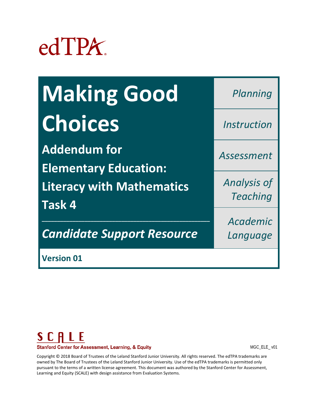

| <b>Making Good</b> | Planning                         |
|--------------------|----------------------------------|
| <b>Choices</b>     | <i><u><b>Instruction</b></u></i> |
|                    |                                  |

**Addendum for Elementary Education: Literacy with Mathematics Task 4**

*Candidate Support Resource*

*\_\_\_\_\_\_\_\_\_\_\_\_\_\_\_\_\_\_\_\_\_\_\_\_\_\_\_\_\_\_\_\_\_\_\_\_\_\_\_\_\_\_\_\_\_\_\_\_\_\_\_\_\_\_\_*

*Teaching* 

*Analysis of* 

*Assessment*

*Academic Language*

**Version 01** 



MGC\_ELE\_ v01

Copyright © 2018 Board of Trustees of the Leland Stanford Junior University. All rights reserved. The edTPA trademarks are owned by The Board of Trustees of the Leland Stanford Junior University. Use of the edTPA trademarks is permitted only pursuant to the terms of a written license agreement. This document was authored by the Stanford Center for Assessment, Learning and Equity (SCALE) with design assistance from Evaluation Systems.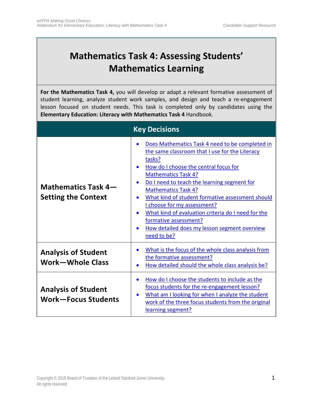# **Mathematics Task 4: Assessing Students' Mathematics Learning**

**For the Mathematics Task 4,** you will develop or adapt a relevant formative assessment of student learning, analyze student work samples, and design and teach a re-engagement lesson focused on student needs. This task is completed only by candidates using the **Elementary Education: Literacy with Mathematics Task 4** Handbook.

<span id="page-1-0"></span>

| <b>Key Decisions</b>                                     |                                                                                                                                                                                                                                                                                                                                                                                                                                                                                                                                                      |
|----------------------------------------------------------|------------------------------------------------------------------------------------------------------------------------------------------------------------------------------------------------------------------------------------------------------------------------------------------------------------------------------------------------------------------------------------------------------------------------------------------------------------------------------------------------------------------------------------------------------|
| Mathematics Task 4-<br><b>Setting the Context</b>        | Does Mathematics Task 4 need to be completed in<br>the same classroom that I use for the Literacy<br>tasks?<br>How do I choose the central focus for<br><b>Mathematics Task 4?</b><br>Do I need to teach the learning segment for<br>$\bullet$<br><b>Mathematics Task 4?</b><br>What kind of student formative assessment should<br>$\bullet$<br>I choose for my assessment?<br>What kind of evaluation criteria do I need for the<br>$\bullet$<br>formative assessment?<br>How detailed does my lesson segment overview<br>$\bullet$<br>need to be? |
| <b>Analysis of Student</b><br><b>Work-Whole Class</b>    | What is the focus of the whole class analysis from<br>$\bullet$<br>the formative assessment?<br>How detailed should the whole class analysis be?<br>$\bullet$                                                                                                                                                                                                                                                                                                                                                                                        |
| <b>Analysis of Student</b><br><b>Work-Focus Students</b> | How do I choose the students to include as the<br>$\bullet$<br>focus students for the re-engagement lesson?<br>What am I looking for when I analyze the student<br>$\bullet$<br>work of the three focus students from the original<br>learning segment?                                                                                                                                                                                                                                                                                              |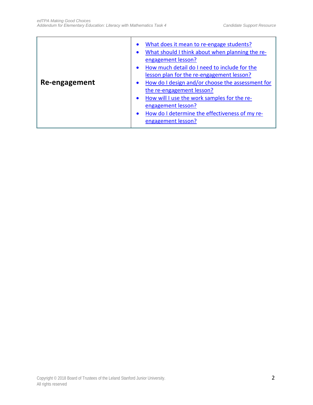| Re-engagement | What does it mean to re-engage students?<br>$\bullet$<br>What should I think about when planning the re-<br>$\bullet$<br>engagement lesson?<br>How much detail do I need to include for the<br>$\bullet$<br>lesson plan for the re-engagement lesson?<br>How do I design and/or choose the assessment for<br>$\bullet$<br>the re-engagement lesson?<br>How will I use the work samples for the re-<br>$\bullet$<br>engagement lesson?<br>How do I determine the effectiveness of my re-<br>$\bullet$<br>engagement lesson? |
|---------------|----------------------------------------------------------------------------------------------------------------------------------------------------------------------------------------------------------------------------------------------------------------------------------------------------------------------------------------------------------------------------------------------------------------------------------------------------------------------------------------------------------------------------|
|---------------|----------------------------------------------------------------------------------------------------------------------------------------------------------------------------------------------------------------------------------------------------------------------------------------------------------------------------------------------------------------------------------------------------------------------------------------------------------------------------------------------------------------------------|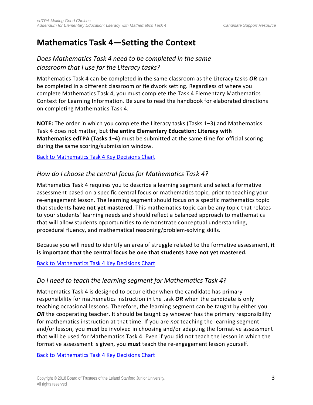# **Mathematics Task 4—Setting the Context**

# <span id="page-3-0"></span>*Does Mathematics Task 4 need to be completed in the same classroom that I use for the Literacy tasks?*

Mathematics Task 4 can be completed in the same classroom as the Literacy tasks *OR* can be completed in a different classroom or fieldwork setting. Regardless of where you complete Mathematics Task 4, you must complete the Task 4 Elementary Mathematics Context for Learning Information. Be sure to read the handbook for elaborated directions on completing Mathematics Task 4.

**NOTE:** The order in which you complete the Literacy tasks (Tasks 1–3) and Mathematics Task 4 does not matter, but **the entire Elementary Education: Literacy with Mathematics edTPA (Tasks 1–4)** must be submitted at the same time for official scoring during the same scoring/submission window.

<span id="page-3-1"></span>Back to Mathematics Task 4 [Key Decisions Chart](#page-1-0)

### *How do I choose the central focus for Mathematics Task 4?*

Mathematics Task 4 requires you to describe a learning segment and select a formative assessment based on a specific central focus or mathematics topic, prior to teaching your re-engagement lesson. The learning segment should focus on a specific mathematics topic that students **have not yet mastered**. This mathematics topic can be any topic that relates to your students' learning needs and should reflect a balanced approach to mathematics that will allow students opportunities to demonstrate conceptual understanding, procedural fluency, and mathematical reasoning/problem-solving skills.

Because you will need to identify an area of struggle related to the formative assessment, **it is important that the central focus be one that students have not yet mastered.**

<span id="page-3-2"></span>Back to Mathematics Task 4 [Key Decisions Chart](#page-1-0)

#### *Do I need to teach the learning segment for Mathematics Task 4?*

Mathematics Task 4 is designed to occur either when the candidate has primary responsibility for mathematics instruction in the task *OR* when the candidate is only teaching occasional lessons. Therefore, the learning segment can be taught by either you **OR** the cooperating teacher. It should be taught by whoever has the primary responsibility for mathematics instruction at that time. If you are *not* teaching the learning segment and/or lesson, you **must** be involved in choosing and/or adapting the formative assessment that will be used for Mathematics Task 4. Even if you did not teach the lesson in which the formative assessment is given, you **must** teach the re-engagement lesson yourself.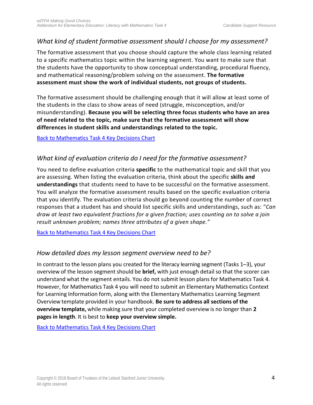#### <span id="page-4-0"></span>*What kind of student formative assessment should I choose for my assessment?*

The formative assessment that you choose should capture the whole class learning related to a specific mathematics topic within the learning segment. You want to make sure that the students have the opportunity to show conceptual understanding, procedural fluency, and mathematical reasoning/problem solving on the assessment. **The formative assessment must show the work of individual students, not groups of students.**

The formative assessment should be challenging enough that it will allow at least some of the students in the class to show areas of need (struggle, misconception, and/or misunderstanding). **Because you will be selecting three focus students who have an area of need related to the topic, make sure that the formative assessment will show differences in student skills and understandings related to the topic.**

<span id="page-4-1"></span>Back to Mathematics Task 4 [Key Decisions Chart](#page-1-0)

### *What kind of evaluation criteria do I need for the formative assessment?*

You need to define evaluation criteria **specific** to the mathematical topic and skill that you are assessing. When listing the evaluation criteria, think about the specific **skills and understandings** that students need to have to be successful on the formative assessment. You will analyze the formative assessment results based on the specific evaluation criteria that you identify. The evaluation criteria should go beyond counting the number of correct responses that a student has and should list specific skills and understandings, such as: "*Can draw at least two equivalent fractions for a given fraction; uses counting on to solve a join result unknown problem; names three attributes of a given shape."*

<span id="page-4-2"></span>[Back to Mathematics](#page-1-0) Task 4 Key Decisions Chart

#### *How detailed does my lesson segment overview need to be?*

In contrast to the lesson plans you created for the literacy learning segment (Tasks 1–3), your overview of the lesson segment should be **brief,** with just enough detail so that the scorer can understand what the segment entails. You do not submit lesson plans for Mathematics Task 4. However, for Mathematics Task 4 you will need to submit an Elementary Mathematics Context for Learning Information form, along with the Elementary Mathematics Learning Segment Overview template provided in your handbook. **Be sure to address all sections of the overview template,** while making sure that your completed overview is no longer than **2 pages in length**. It is best to **keep your overview simple.**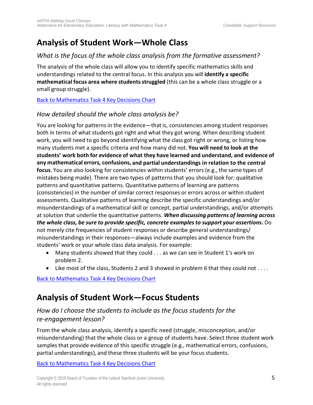# **Analysis of Student Work—Whole Class**

# <span id="page-5-0"></span>*What is the focus of the whole class analysis from the formative assessment?*

The analysis of the whole class will allow you to identify specific mathematics skills and understandings related to the central focus. In this analysis you will **identify a specific mathematical focus area where students struggled** (this can be a whole class struggle or a small group struggle).

<span id="page-5-1"></span>[Back to Mathematics](#page-1-0) Task 4 Key Decisions Chart

### *How detailed should the whole class analysis be?*

You are looking for patterns in the evidence—that is, consistencies among student responses both in terms of what students got right and what they got wrong. When describing student work, you will need to go beyond identifying what the class got right or wrong, or listing how many students met a specific criteria and how many did not. **You will need to look at the students' work both for evidence of what they have learned and understand, and evidence of any mathematical errors, confusions, and partial understandings in relation to the central focus**. You are also looking for consistencies within students' errors (e.g., the same types of mistakes being made). There are two types of patternsthat you should look for: qualitative patterns and quantitative patterns. Quantitative patterns of learning are patterns (consistencies) in the number of similar correct responses or errors across or within student assessments. Qualitative patterns of learning describe the specific understandings and/or misunderstandings of a mathematical skill or concept, partial understandings, and/or attempts at solution that underlie the quantitative patterns. *When discussing patterns of learning across the whole class, be sure to provide specific, concrete examplesto support your assertions***.** Do not merely cite frequencies of student responses or describe general understandings/ misunderstandings in their responses—always include examples and evidence from the students' work or your whole class data analysis. For example:

- Many students showed that they could . . . as we can see in Student 1's work on problem 2.
- Like most of the class, Students 2 and 3 showed in problem 6 that they could not ....

[Back to Mathematics](#page-1-0) Task 4 Key Decisions Chart

# **Analysis of Student Work—Focus Students**

### <span id="page-5-2"></span>*How do I choose the students to include as the focus students for the re-engagement lesson?*

From the whole class analysis, identify a specific need (struggle, misconception, and/or misunderstanding) that the whole class or a group of students have. Select three student work samples that provide evidence of this specific struggle (e.g., mathematical errors, confusions, partial understandings), and these three students will be your focus students.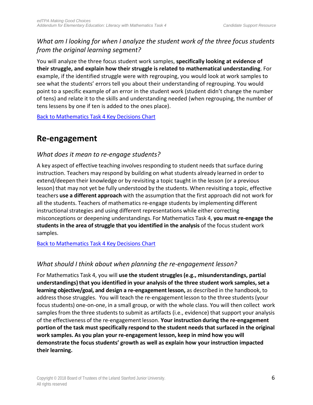### <span id="page-6-0"></span>*What am I looking for when I analyze the student work of the three focus students from the original learning segment?*

You will analyze the three focus student work samples, **specifically looking at evidence of their struggle, and explain how their struggle is related to mathematical understanding**. For example, if the identified struggle were with regrouping, you would look at work samples to see what the students' errors tell you about their understanding of regrouping. You would point to a specific example of an error in the student work (student didn't change the number of tens) and relate it to the skills and understanding needed (when regrouping, the number of tens lessens by one if ten is added to the ones place).

[Back to Mathematics](#page-1-0) Task 4 Key Decisions Chart

# **Re-engagement**

### <span id="page-6-1"></span>*What does it mean to re-engage students?*

A key aspect of effective teaching involves responding to student needs that surface during instruction. Teachers may respond by building on what students already learned in order to extend/deepen their knowledge or by revisiting a topic taught in the lesson (or a previous lesson) that may not yet be fully understood by the students. When revisiting a topic, effective teachers **use a different approach** with the assumption that the first approach did not work for all the students. Teachers of mathematics re-engage students by implementing different instructional strategies and using different representations while either correcting misconceptions or deepening understandings. For Mathematics Task 4, **you must re-engage the students in the area of struggle that you identified in the analysis** of the focus student work samples.

<span id="page-6-2"></span>[Back to Mathematics](#page-1-0) Task 4 Key Decisions Chart

### *What should I think about when planning the re-engagement lesson?*

For Mathematics Task 4, you will **use the student struggles (e.g., misunderstandings, partial understandings)that you identified in your analysis of the three student work samples, set a learning objective/goal, and design a re-engagement lesson,** as described in the handbook, to address those struggles. You will teach the re-engagement lesson to the three students (your focus students) one-on-one, in a small group, or with the whole class. You will then collect work samples from the three students to submit as artifacts (i.e., evidence) that support your analysis of the effectiveness of the re-engagement lesson. **Your instruction during the re-engagement portion of the task must specifically respond to the student needsthat surfaced in the original work samples. As you plan your re-engagement lesson, keep in mind how you will demonstrate the focus students' growth as well as explain how your instruction impacted their learning.**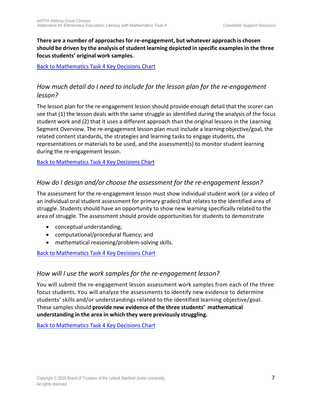**There are a number of approaches for re-engagement, but whatever approach is chosen should be driven by the analysis of student learning depicted in specific examplesin the three focus students' original work samples.**

<span id="page-7-0"></span>[Back to Mathematics](#page-1-0) Task 4 Key Decisions Chart

# *How much detail do I need to include for the lesson plan for the re-engagement lesson?*

The lesson plan for the re-engagement lesson should provide enough detail that the scorer can see that (1) the lesson deals with the same struggle as identified during the analysis of the focus student work and (2) that it uses a different approach than the original lessons in the Learning Segment Overview. The re-engagement lesson plan must include a learning objective/goal, the related content standards, the strategies and learning tasks to engage students, the representations or materials to be used, and the assessment(s) to monitor student learning during the re-engagement lesson.

<span id="page-7-1"></span>[Back to Mathematics](#page-1-0) Task 4 Key Decisions Chart

### *How do I design and/or choose the assessment for the re-engagement lesson?*

The assessment for the re-engagement lesson must show individual student work (or a video of an individual oral student assessment for primary grades) that relates to the identified area of struggle. Students should have an opportunity to show new learning specifically related to the area of struggle. The assessment should provide opportunities for students to demonstrate

- conceptual understanding;
- computational/procedural fluency; and
- mathematical reasoning/problem-solving skills.

<span id="page-7-2"></span>[Back to Mathematics](#page-1-0) Task 4 Key Decisions Chart

#### *How will I use the work samples for the re-engagement lesson?*

You will submit the re-engagement lesson assessment work samples from each of the three focus students. You will analyze the assessments to identify new evidence to determine students' skills and/or understandings related to the identified learning objective/goal. These samples should **provide new evidence of the three students' mathematical understanding in the area in which they were previously struggling.**